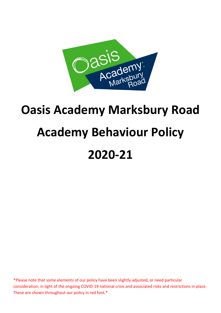

# **Oasis Academy Marksbury Road Academy Behaviour Policy 2020-21**

\*Please note that some elements of our policy have been slightly adjusted, or need particular consideration, in light of the ongoing COVID-19 national crisis and associated risks and restrictions in place. These are shown throughout our policy in red font.\*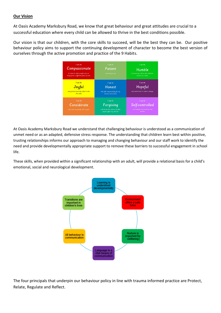#### **Our Vision**

At Oasis Academy Marksbury Road, we know that great behaviour and great attitudes are crucial to a successful education where every child can be allowed to thrive in the best conditions possible.

Our vision is that our children, with the core skills to succeed, will be the best they can be. Our positive behaviour policy aims to support the continuing development of character to become the best version of ourselves through the active promotion and practice of the 9 Habits.

| I can be<br>Compassionate<br>to listen to other people and see<br>things from a different point of view | I can be<br>Patient<br>and not give up                                                 | I can be<br>Humble<br>to encourage others and celebrate<br>success as a team |
|---------------------------------------------------------------------------------------------------------|----------------------------------------------------------------------------------------|------------------------------------------------------------------------------|
| I can be<br>Joyful<br>and positive and help others to be<br>the same                                    | I can be<br><b>Honest</b><br>and take responsibility for my<br>choices and actions     | I can be<br>Hopeful<br>and work hard to make a change                        |
| I can be<br>Considerate<br>and treat everybody with respect                                             | I can be<br>Forgiving<br>and not let the actions of other<br>people affect my attitude | I can be<br>Self-controlled<br>and manage my emotions and<br>actions         |

At Oasis Academy Marksbury Road we understand that challenging behaviour is understood as a communication of unmet need or as an adapted, defensive stress response. The understanding that children learn best within positive, trusting relationships informs our approach to managing and changing behaviour and our staff work to identify the need and provide developmentally appropriate support to remove these barriers to successful engagement in school life.

These skills, when provided within a significant relationship with an adult, will provide a relational basis for a child's emotional, social and neurological development.



The four principals that underpin our behaviour policy in line with trauma informed practice are Protect, Relate, Regulate and Reflect.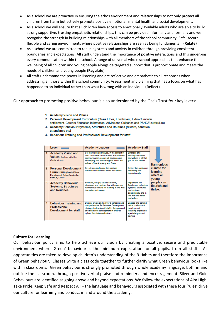- As a school we are proactive in ensuring the ethos environment and relationships to not only **protect** all children from harm but actively promote positive emotional, mental health and social development.
- As a school we will ensure that all children have access to emotionally available adults who are able to build strong supportive, trusting empathetic relationships, this can be provided informally and formally and we recognise the strength in building relationships with all members of the school community. Safe, secure, flexible and caring environments where positive relationships are seen as being fundamental **(Relate)**
- As a school we are committed to reducing stress and anxiety in children through providing consistent boundaries and expectations. All staff understand the importance of positive interactions and this underpins every communication within the school. A range of universal whole school approaches that enhance the wellbeing of all children and young people alongside targeted support that is proportionate and meets the needs of children and young people **(Regulate)**
- All staff understand the power in listening and are reflective and empathetic to all responses when addressing all those within the school community. Assessment and planning that has a focus on what has happened to an individual rather than what is wrong with an individual **(Reflect)**

Our approach to promoting positive behaviour is also underpinned by the Oasis Trust four key levers:

- 1. Academy Vision and Values
- 2. Personal Development Curriculum (Oasis Ethos, Enrichment, Extra-Curricular entitlement, Careers Education Information, Advice and Guidance and PSHCE curriculum)
- 3. Academy Behaviour Systems, Structures and Routines (reward, sanction, attendance etc)
- 4. Behaviour Training and Professional Development for staff

| 1<br>2 | Lever<br><b>Academy Vision and</b><br>Values (in line with the<br>Oasis ethos)<br><b>Personal Development</b> | <b>Academy Leaders</b><br>Set the vision and values, in the context of<br>the Oasis ethos and 9 Habits. Ensure over-<br>communication, ensure all decisions are<br>embodying and embracing the vision and<br>values of the Academy and Oasis.<br>Set, design and agree the pastoral | <b>Academy Staff</b><br><b>Embrace and</b><br>embody the vision<br>and values in all that<br>vou do and deliver<br>Deliver the curriculum    | <b>Harmonious</b><br>climate for      |
|--------|---------------------------------------------------------------------------------------------------------------|-------------------------------------------------------------------------------------------------------------------------------------------------------------------------------------------------------------------------------------------------------------------------------------|----------------------------------------------------------------------------------------------------------------------------------------------|---------------------------------------|
|        | Curriculum (Oasis Ethos,<br><b>Enrichment, Extra-Curricular.</b><br><b>PSHCE, CIAG)</b>                       | curriculum in line with vision and values                                                                                                                                                                                                                                           | effectively and<br>inspirationally                                                                                                           | learning<br>where all<br>young        |
| 3      | <b>Academy Behaviour</b><br><b>Systems, Structures</b><br>and Routines                                        | Evaluate, design, set the systems,<br>structures and routines that will ensure a<br>harmonious climate for learning in line with<br>the vision and values.                                                                                                                          | Implement, the<br>Academy's behaviour<br>systems, structures<br>and routines.<br>consistently and in<br>line with the vision.<br>and values. | people can<br>flourish and<br>thrive. |
| 4      | <b>Behaviour Training and</b><br><b>Professional</b><br>Development for staff                                 | Design, create and deliver a cohesive and<br>comprehensive Professional Development<br>strategy to develop all staff in their pastoral<br>and behaviour development in order to<br>uphold the vision and values.                                                                    | <b>Engage and commit</b><br>to the professional<br>development.<br>including expert and<br>specialist pastoral<br>training                   |                                       |

#### **Culture for Learning**

Our behaviour policy aims to help achieve our vision by creating a positive, secure and predictable environment where 'Green' behaviour is the minimum expectation for all pupils, from all staff. All opportunities are taken to develop children's understanding of the 9 Habits and therefore the importance of Green behaviour. Classes write a class code together to further clarify what Green behaviour looks like within classrooms. Green behaviour is strongly promoted through whole academy language, both in and outside the classroom, through positive verbal praise and reminders and encouragement. Silver and Gold Behaviours are identified as going above and beyond expectations. We follow the expectations of Aim High, Take Pride, Keep Safe and Respect All – the language and behaviours associated with these four 'rules' drive our culture for learnimg and conduct in and around the academy.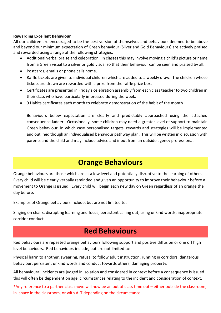#### **Rewarding Excellent Behaviour**

All our children are encouraged to be the best version of themselves and behaviours deemed to be above and beyond our minimum expectation of Green behaviour (Silver and Gold Behaviours) are actively praised and rewarded using a range of the following strategies:

- Additional verbal praise and celebration. In classes this may involve moving a child's picture or name from a Green visual to a silver or gold visual so that their behaviour can be seen and praised by all.
- Postcards, emails or phone calls home.
- Raffle tickets are given to individual children which are added to a weekly draw. The children whose tickets are drawn are rewarded with a prize from the raffle prize box.
- Certificates are presented in Friday's celebration assembly from each class teacher to two children in their class who have particularly impressed during the week.
- 9 Habits certificates each month to celebrate demonstration of the habit of the month

Behaviours below expectation are clearly and predictably approached using the attached consequence ladder. Occasionally, some children may need a greater level of support to maintain Green behaviour, in which case personalised targets, rewards and strategies will be implemented and outlined though an individualised behaviour pathway plan. This will be written in discussion with parents and the child and may include advice and input from an outside agency professional.

## **Orange Behaviours**

Orange behaviours are those which are at a low level and potentially disruptive to the learning of others. Every child will be clearly verbally reminded and given an opportunity to improve their behaviour before a movement to Orange is issued. Every child will begin each new day on Green regardless of an orange the day before.

Examples of Orange behaviours include, but are not limited to:

Singing on chairs, disrupting learning and focus, persistent calling out, using unkind words, inappropriate corridor conduct

### **Red Behaviours**

Red behaviours are repeated orange behaviours following support and positive diffusion or one off high level behaviours. Red behaviours include, but are not limited to:

Physical harm to another, swearing, refusal to follow adult instruction, running in corridors, dangerous behaviour, persistent unkind words and conduct towards others, damaging property.

All behavioural incidents are judged in isolation and considered in context before a consequence is issued – this will often be dependent on age, circumstances relating to the incident and consideration of context.

\*Any reference to a partner class move will now be an out of class time out – either outside the classroom, in space in the classroom, or with ALT depending on the circumstance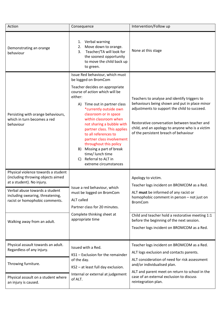| Action                                                                                                | Consequence                                                                                                                                                                                                                                                                                                                                                                                                                                                                                                | Intervention/Follow up                                                                                                                                                                                                                                                                    |
|-------------------------------------------------------------------------------------------------------|------------------------------------------------------------------------------------------------------------------------------------------------------------------------------------------------------------------------------------------------------------------------------------------------------------------------------------------------------------------------------------------------------------------------------------------------------------------------------------------------------------|-------------------------------------------------------------------------------------------------------------------------------------------------------------------------------------------------------------------------------------------------------------------------------------------|
| Demonstrating an orange<br>behaviour                                                                  | 1. Verbal warning<br>2. Move down to orange.<br>Teacher/TA will look for<br>3.<br>the soonest opportunity<br>to move the child back up<br>to green.                                                                                                                                                                                                                                                                                                                                                        | None at this stage                                                                                                                                                                                                                                                                        |
| Persisting with orange behaviours,<br>which in turn becomes a red<br>behaviour                        | Issue Red behaviour, which must<br>be logged on BromCom<br>Teacher decides on appropriate<br>course of action which will be<br>either:<br>Time out in partner class<br>A)<br>*currently outside own<br>classroom or in space<br>within classroom when<br>not sharing a bubble with<br>partner class. This applies<br>to all references to<br>partner class involvement<br>throughout this policy<br>Missing a part of break<br>B)<br>time/ lunch time<br>Referral to ALT in<br>C)<br>extreme circumstances | Teachers to analyse and identify triggers to<br>behaviours being shown and put in place minor<br>adjustments to support the child to succeed.<br>Restorative conversation between teacher and<br>child, and an apology to anyone who is a victim<br>of the persistent breach of behaviour |
| Physical violence towards a student<br>(including throwing objects aimed<br>at a student). No injury. | Issue a red behaviour, which<br>must be logged on BromCom<br><b>ALT</b> called<br>Partner class for 20 minutes.<br>Complete thinking sheet at<br>appropriate time                                                                                                                                                                                                                                                                                                                                          | Apology to victim.<br>Teacher logs incident on BROMCOM as a Red.                                                                                                                                                                                                                          |
| Verbal abuse towards a student<br>including swearing, threatening,<br>racist or homophobic comments.  |                                                                                                                                                                                                                                                                                                                                                                                                                                                                                                            | ALT must be informed of any racist or<br>homophobic comment in person - not just on<br><b>BromCom</b>                                                                                                                                                                                     |
| Walking away from an adult.                                                                           |                                                                                                                                                                                                                                                                                                                                                                                                                                                                                                            | Child and teacher hold a restorative meeting 1:1<br>before the beginning of the next session.<br>Teacher logs incident on BROMCOM as a Red.                                                                                                                                               |
| Physical assault towards an adult.<br>Regardless of any injury.                                       | Issued with a Red.<br>KS1 - Exclusion for the remainder<br>of the day.<br>KS2 - at least full day exclusion.<br>Internal or external at judgement<br>of ALT.                                                                                                                                                                                                                                                                                                                                               | Teacher logs incident on BROMCOM as a Red.<br>ALT logs exclusion and contacts parents.                                                                                                                                                                                                    |
| Throwing furniture.                                                                                   |                                                                                                                                                                                                                                                                                                                                                                                                                                                                                                            | ALT consideration of need for risk assessment<br>and/or individualised plan.                                                                                                                                                                                                              |
| Physical assault on a student where<br>an injury is caused.                                           |                                                                                                                                                                                                                                                                                                                                                                                                                                                                                                            | ALT and parent meet on return to school in the<br>case of an external exclusion to discuss<br>reintegration plan.                                                                                                                                                                         |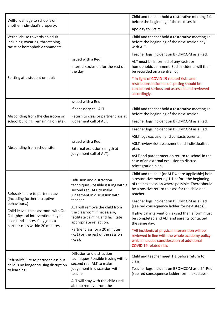| Willful damage to school's or                                                                                                                  |                                                                                                                                                                                                                                                                        | Child and teacher hold a restorative meeting 1:1<br>before the beginning of the next session.                                                                                                                         |
|------------------------------------------------------------------------------------------------------------------------------------------------|------------------------------------------------------------------------------------------------------------------------------------------------------------------------------------------------------------------------------------------------------------------------|-----------------------------------------------------------------------------------------------------------------------------------------------------------------------------------------------------------------------|
| another individual's property.                                                                                                                 |                                                                                                                                                                                                                                                                        | Apology to victim.                                                                                                                                                                                                    |
| Verbal abuse towards an adult<br>including swearing, threatening,<br>racist or homophobic comments.                                            |                                                                                                                                                                                                                                                                        | Child and teacher hold a restorative meeting 1:1<br>before the beginning of the next session day<br>with ALT                                                                                                          |
|                                                                                                                                                |                                                                                                                                                                                                                                                                        | Teacher logs incident on BROMCOM as a Red.                                                                                                                                                                            |
| Spitting at a student or adult                                                                                                                 | Issued with a Red.<br>Internal exclusion for the rest of<br>the day                                                                                                                                                                                                    | ALT must be informed of any racist or<br>homophobic comment. Such incidents will then<br>be recorded on a central log.                                                                                                |
|                                                                                                                                                |                                                                                                                                                                                                                                                                        | * In light of COVID 19 related risks and<br>restrictions incidents of spitting should be<br>considered serious and assessed and reviewed<br>accordingly.                                                              |
|                                                                                                                                                | Issued with a Red.                                                                                                                                                                                                                                                     |                                                                                                                                                                                                                       |
|                                                                                                                                                | If necessary call ALT                                                                                                                                                                                                                                                  | Child and teacher hold a restorative meeting 1:1<br>before the beginning of the next session.                                                                                                                         |
| Absconding from the classroom or<br>school building (remaining on site).                                                                       | Return to class or partner class at<br>judgement call of ALT.                                                                                                                                                                                                          | Teacher logs incident on BROMCOM as a Red.                                                                                                                                                                            |
|                                                                                                                                                | Issued with a Red.<br>External exclusion (length at<br>judgement call of ALT).                                                                                                                                                                                         | Teacher logs incident on BROMCOM as a Red.                                                                                                                                                                            |
|                                                                                                                                                |                                                                                                                                                                                                                                                                        | ASLT logs exclusion and contacts parents.                                                                                                                                                                             |
| Absconding from school site.                                                                                                                   |                                                                                                                                                                                                                                                                        | ASLT review risk assessment and individualised<br>plan.                                                                                                                                                               |
|                                                                                                                                                |                                                                                                                                                                                                                                                                        | ASLT and parent meet on return to school in the<br>case of an external exclusion to discuss<br>reintegration plan.                                                                                                    |
| Refusal/failure to partner class                                                                                                               | Diffusion and distraction<br>techniques Possible issuing with a<br>second red. ALT to make<br>judgement in discussion with<br>teacher<br>ALT will remove the child from<br>the classroom if necessary,<br>facilitate calming and facilitate<br>appropriate reflection. | Child and teacher (or ALT where applicable) hold<br>a restorative meeting 1:1 before the beginning<br>of the next session where possible. There should<br>be a positive return to class for the child and<br>teacher. |
| (including further disruptive<br>behaviours.)                                                                                                  |                                                                                                                                                                                                                                                                        | Teacher logs incident on BROMCOM as a Red<br>(see red consequence ladder for next steps).                                                                                                                             |
| Child leaves the classroom with On<br>Call (physical intervention may be<br>used) and successfully joins a<br>partner class within 20 minutes. |                                                                                                                                                                                                                                                                        | If physical intervention is used then a form must<br>be completed and ALT and parents contacted<br>the same day.                                                                                                      |
|                                                                                                                                                | Partner class for a 20 minutes<br>(KS1) or the rest of the session<br>(KS2).                                                                                                                                                                                           | *All incidents of physical intervention will be<br>reviewed in line with the whole academy policy<br>which includes consideration of additional<br>COVID 19 related risk.                                             |
| Refusal/failure to partner class but<br>child is no longer causing disruption                                                                  | Diffusion and distraction<br>techniques Possible issuing with a<br>second red. ALT to make<br>judgement in discussion with<br>teacher                                                                                                                                  | Child and teacher meet 1:1 before return to<br>class.                                                                                                                                                                 |
| to learning.                                                                                                                                   |                                                                                                                                                                                                                                                                        | Teacher logs incident on BROMCOM as a 2 <sup>nd</sup> Red<br>(see red consequence ladder form next steps).                                                                                                            |
|                                                                                                                                                | ALT will stay with the child until<br>able to remove from the                                                                                                                                                                                                          |                                                                                                                                                                                                                       |